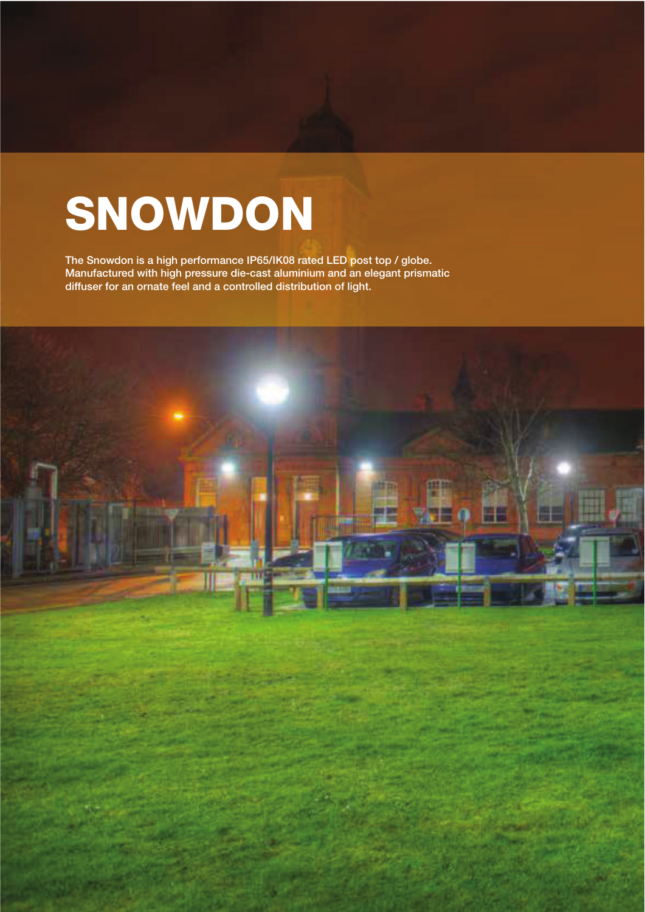## SNOWDON

The Snowdon is a high performance IP65/IK08 rated LED post top / globe. Manufactured with high pressure die-cast aluminium and an elegant prismatic diffuser for an ornate feel and a controlled distribution of light.